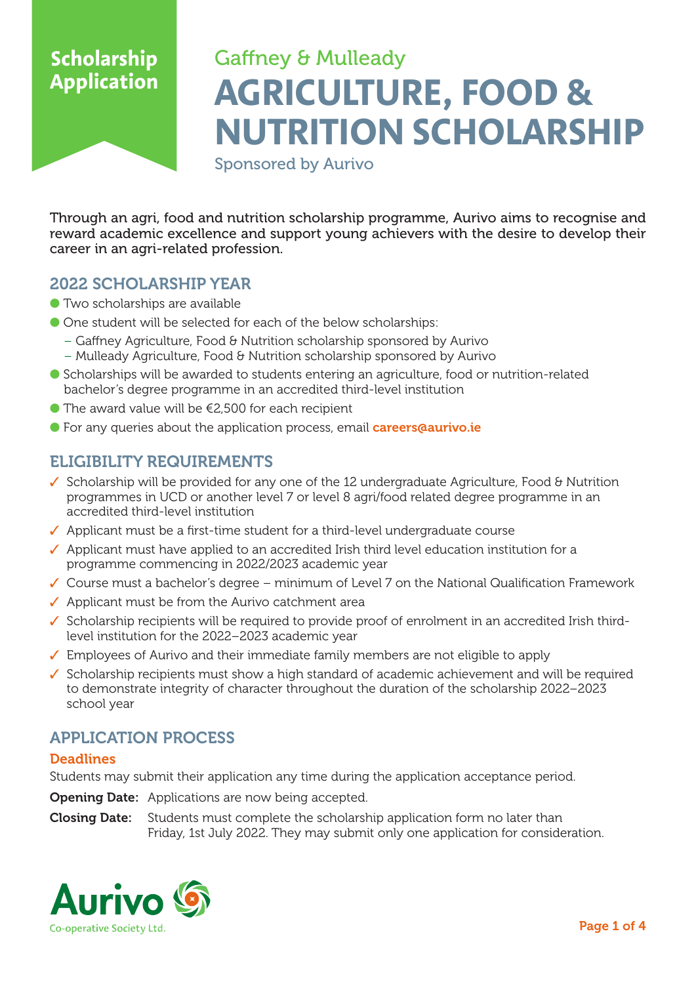# Gaffney & Mulleady **AGRICULTURE, FOOD & NUTRITION SCHOLARSHIP**

Sponsored by Aurivo

Through an agri, food and nutrition scholarship programme, Aurivo aims to recognise and reward academic excellence and support young achievers with the desire to develop their career in an agri-related profession.

### 2022 SCHOLARSHIP YEAR

- Two scholarships are available
- One student will be selected for each of the below scholarships:
	- Gaffney Agriculture, Food & Nutrition scholarship sponsored by Aurivo
	- Mulleady Agriculture, Food & Nutrition scholarship sponsored by Aurivo
- Scholarships will be awarded to students entering an agriculture, food or nutrition-related bachelor's degree programme in an accredited third-level institution
- $\bullet$  The award value will be  $\epsilon$ 2,500 for each recipient
- For any queries about the application process, email **careers@aurivo.ie**

## ELIGIBILITY REQUIREMENTS

- ✓ Scholarship will be provided for any one of the 12 undergraduate Agriculture, Food & Nutrition programmes in UCD or another level 7 or level 8 agri/food related degree programme in an accredited third-level institution
- ✓ Applicant must be a first-time student for a third-level undergraduate course
- ✓ Applicant must have applied to an accredited Irish third level education institution for a programme commencing in 2022/2023 academic year
- ✓ Course must a bachelor's degree minimum of Level 7 on the National Qualification Framework
- ✓ Applicant must be from the Aurivo catchment area
- ✓ Scholarship recipients will be required to provide proof of enrolment in an accredited Irish third level institution for the 2022–2023 academic year
- ✓ Employees of Aurivo and their immediate family members are not eligible to apply
- ✓ Scholarship recipients must show a high standard of academic achievement and will be required to demonstrate integrity of character throughout the duration of the scholarship 2022–2023 school year

### APPLICATION PROCESS

### **Deadlines**

Students may submit their application any time during the application acceptance period.

**Opening Date:** Applications are now being accepted.

**Closing Date:** Students must complete the scholarship application form no later than Friday, 1st July 2022. They may submit only one application for consideration.

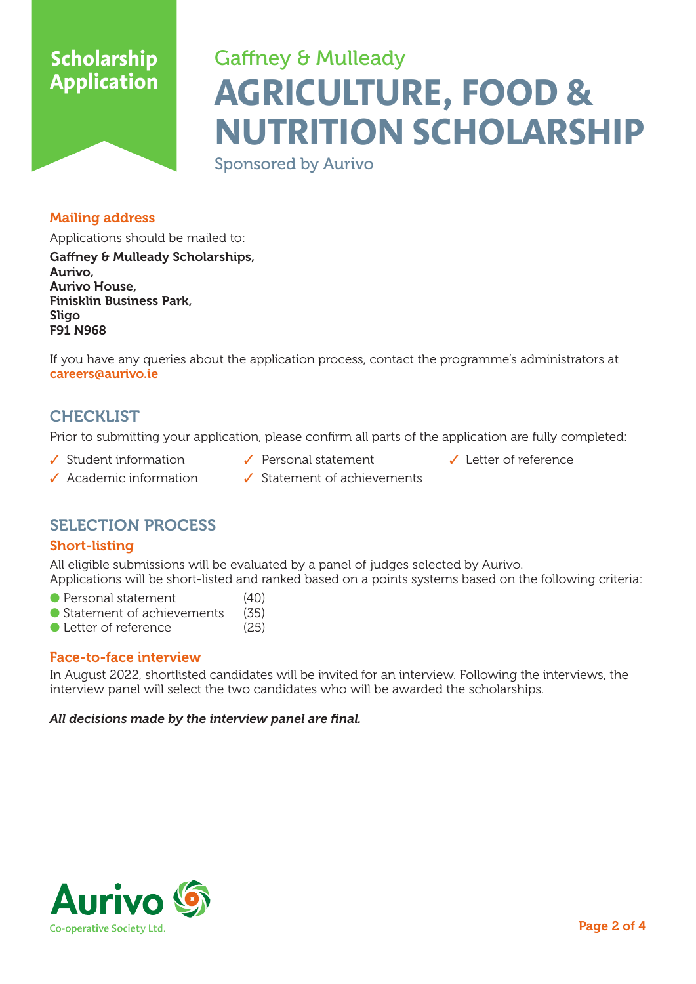# Gaffney & Mulleady **AGRICULTURE, FOOD & NUTRITION SCHOLARSHIP**

Sponsored by Aurivo

### Mailing address

Applications should be mailed to: Gaffney & Mulleady Scholarships, Aurivo, Aurivo House, Finisklin Business Park, Sligo

If you have any queries about the application process, contact the programme's administrators at careers@aurivo.ie

## **CHECKLIST**

F91 N968

Prior to submitting your application, please confirm all parts of the application are fully completed:

- ✓ Student information ✓ Personal statement ✓ Letter of reference
	-
- 

- 
- ✓ Academic information ✓ Statement of achievements

## SELECTION PROCESS

### Short-listing

All eligible submissions will be evaluated by a panel of judges selected by Aurivo. Applications will be short-listed and ranked based on a points systems based on the following criteria:

- Personal statement (40)
- Statement of achievements (35)<br>● Letter of reference (25)
- $\bullet$  Letter of reference

### Face-to-face interview

In August 2022, shortlisted candidates will be invited for an interview. Following the interviews, the interview panel will select the two candidates who will be awarded the scholarships.

#### *All decisions made by the interview panel are final.*

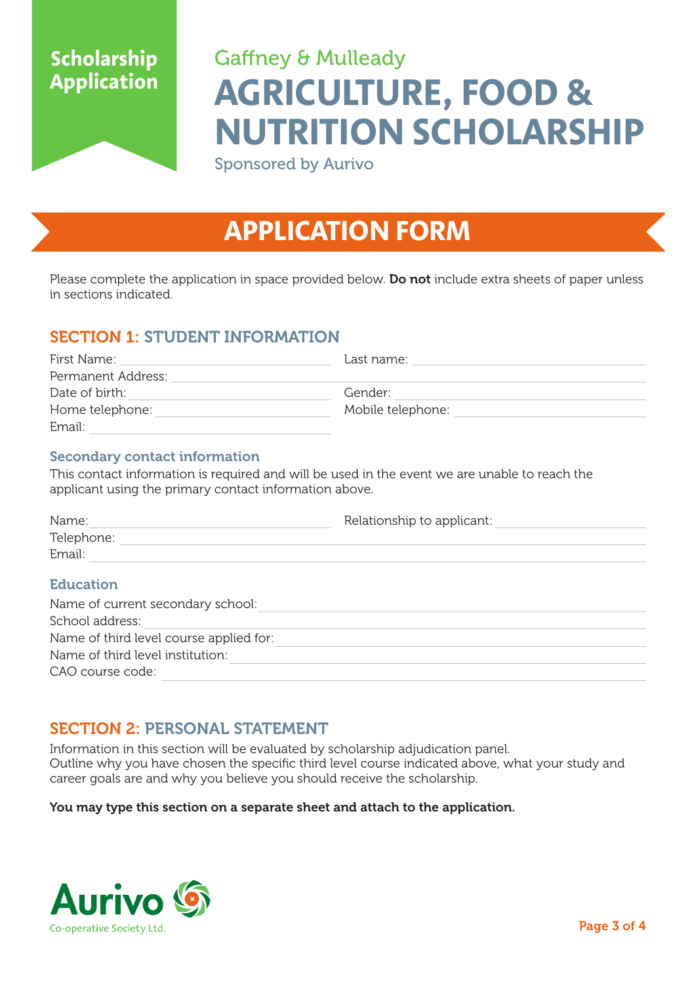# Gaffney & Mulleady **AGRICULTURE, FOOD & NUTRITION SCHOLARSHIP**

Sponsored by Aurivo

# **APPLICATION FORM**

Please complete the application in space provided below. Do not include extra sheets of paper unless in sections indicated.

## SECTION 1: STUDENT INFORMATION

| First Name:        | Last name:        |  |
|--------------------|-------------------|--|
| Permanent Address: |                   |  |
| Date of birth:     | Gender:           |  |
| Home telephone:    | Mobile telephone: |  |
| Email:             |                   |  |

### Secondary contact information

This contact information is required and will be used in the event we are unable to reach the applicant using the primary contact information above.

| Name:                                   | Relationship to applicant: |  |  |
|-----------------------------------------|----------------------------|--|--|
| Telephone:                              |                            |  |  |
| Email:                                  |                            |  |  |
| <b>Education</b>                        |                            |  |  |
| Name of current secondary school:       |                            |  |  |
| School address:                         |                            |  |  |
| Name of third level course applied for: |                            |  |  |

| Name of third level institution: |  |
|----------------------------------|--|
| CAO course code:                 |  |

# SECTION 2: PERSONAL STATEMENT

Information in this section will be evaluated by scholarship adjudication panel. Outline why you have chosen the specific third level course indicated above, what your study and career goals are and why you believe you should receive the scholarship.

### You may type this section on a separate sheet and attach to the application.